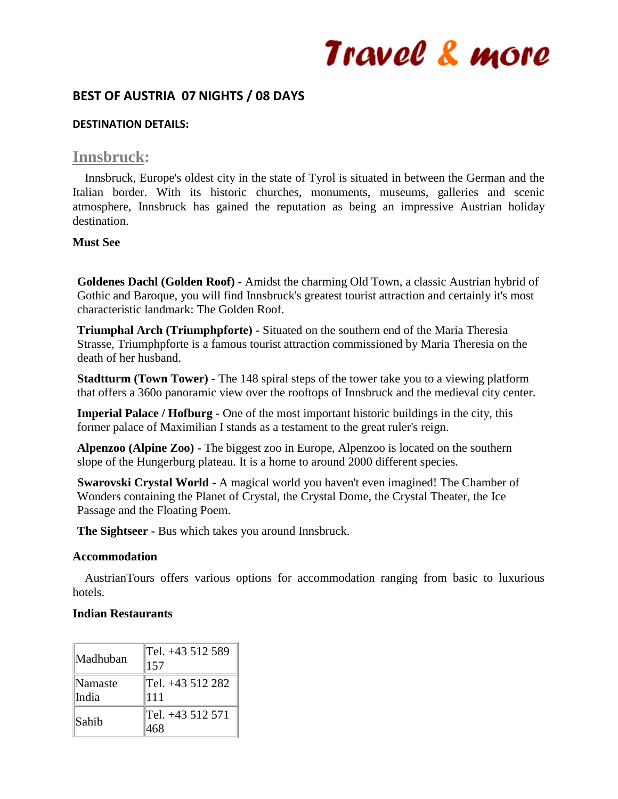## **BEST OF AUSTRIA 07 NIGHTS / 08 DAYS**

#### **DESTINATION DETAILS:**

## **Innsbruck:**

 Innsbruck, Europe's oldest city in the state of Tyrol is situated in between the German and the Italian border. With its historic churches, monuments, museums, galleries and scenic atmosphere, Innsbruck has gained the reputation as being an impressive Austrian holiday destination.

## **Must See**

**Goldenes Dachl (Golden Roof) -** Amidst the charming Old Town, a classic Austrian hybrid of Gothic and Baroque, you will find Innsbruck's greatest tourist attraction and certainly it's most characteristic landmark: The Golden Roof.

**Triumphal Arch (Triumphpforte) -** Situated on the southern end of the Maria Theresia Strasse, Triumphpforte is a famous tourist attraction commissioned by Maria Theresia on the death of her husband.

**Stadtturm (Town Tower) -** The 148 spiral steps of the tower take you to a viewing platform that offers a 360o panoramic view over the rooftops of Innsbruck and the medieval city center.

**Imperial Palace / Hofburg -** One of the most important historic buildings in the city, this former palace of Maximilian I stands as a testament to the great ruler's reign.

**Alpenzoo (Alpine Zoo) -** The biggest zoo in Europe, Alpenzoo is located on the southern slope of the Hungerburg plateau. It is a home to around 2000 different species.

**Swarovski Crystal World -** A magical world you haven't even imagined! The Chamber of Wonders containing the Planet of Crystal, the Crystal Dome, the Crystal Theater, the Ice Passage and the Floating Poem.

**The Sightseer -** Bus which takes you around Innsbruck.

#### **Accommodation**

 AustrianTours offers various options for accommodation ranging from basic to luxurious hotels.

## **Indian Restaurants**

| Madhuban         | Tel. +43 512 589<br>157 |
|------------------|-------------------------|
| Namaste<br>India | Tel. +43 512 282<br>111 |
| Sahib            | Tel. +43 512 571        |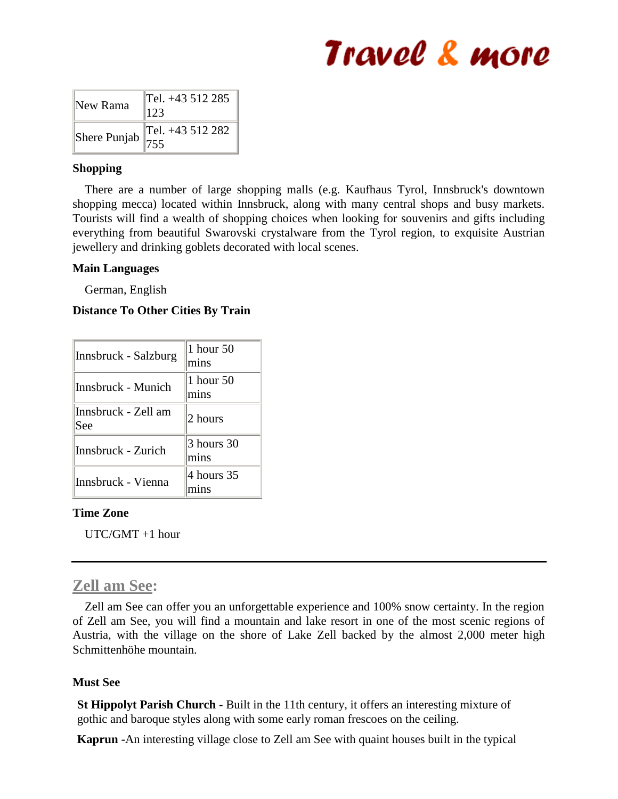| New Rama                                      | Tel. +43 512 285<br>123 |
|-----------------------------------------------|-------------------------|
| Shere Punjab $\left\  \frac{1}{755} \right\ $ | Tel. $+43512282$        |

## **Shopping**

 There are a number of large shopping malls (e.g. Kaufhaus Tyrol, Innsbruck's downtown shopping mecca) located within Innsbruck, along with many central shops and busy markets. Tourists will find a wealth of shopping choices when looking for souvenirs and gifts including everything from beautiful Swarovski crystalware from the Tyrol region, to exquisite Austrian jewellery and drinking goblets decorated with local scenes.

## **Main Languages**

German, English

## **Distance To Other Cities By Train**

| Innsbruck - Salzburg       | 1 hour 50<br>mins  |
|----------------------------|--------------------|
| Innsbruck - Munich         | 1 hour 50<br>mins  |
| Innsbruck - Zell am<br>See | 2 hours            |
| Innsbruck - Zurich         | 3 hours 30<br>mins |
| Innsbruck - Vienna         | 4 hours 35         |

## **Time Zone**

UTC/GMT +1 hour

## **Zell am See:**

 Zell am See can offer you an unforgettable experience and 100% snow certainty. In the region of Zell am See, you will find a mountain and lake resort in one of the most scenic regions of Austria, with the village on the shore of Lake Zell backed by the almost 2,000 meter high Schmittenhöhe mountain.

## **Must See**

**St Hippolyt Parish Church -** Built in the 11th century, it offers an interesting mixture of gothic and baroque styles along with some early roman frescoes on the ceiling.

**Kaprun -**An interesting village close to Zell am See with quaint houses built in the typical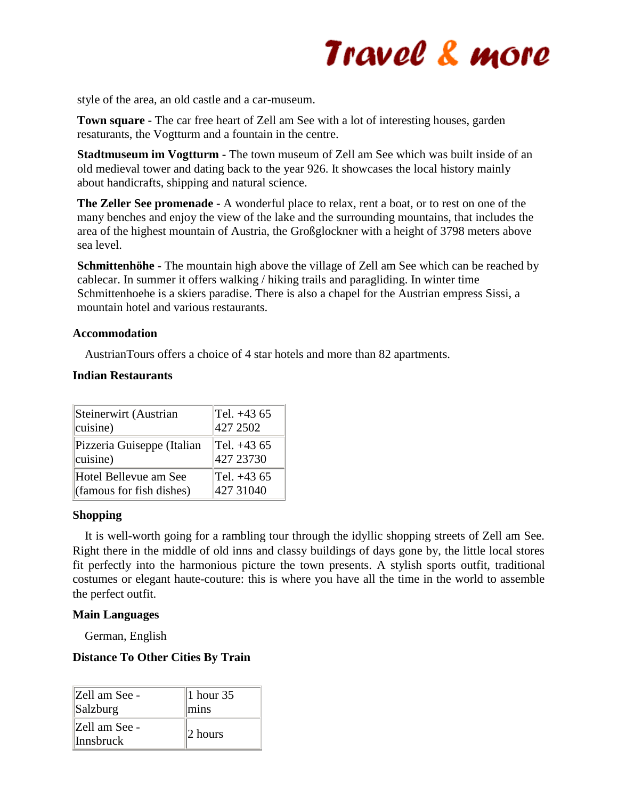

style of the area, an old castle and a car-museum.

**Town square -** The car free heart of Zell am See with a lot of interesting houses, garden resaturants, the Vogtturm and a fountain in the centre.

**Stadtmuseum im Vogtturm -** The town museum of Zell am See which was built inside of an old medieval tower and dating back to the year 926. It showcases the local history mainly about handicrafts, shipping and natural science.

**The Zeller See promenade -** A wonderful place to relax, rent a boat, or to rest on one of the many benches and enjoy the view of the lake and the surrounding mountains, that includes the area of the highest mountain of Austria, the Großglockner with a height of 3798 meters above sea level.

**Schmittenhöhe -** The mountain high above the village of Zell am See which can be reached by cablecar. In summer it offers walking / hiking trails and paragliding. In winter time Schmittenhoehe is a skiers paradise. There is also a chapel for the Austrian empress Sissi, a mountain hotel and various restaurants.

#### **Accommodation**

AustrianTours offers a choice of 4 star hotels and more than 82 apartments.

#### **Indian Restaurants**

| Steinerwirt (Austrian                     | $ Tel. +43.65$      |
|-------------------------------------------|---------------------|
| $ c$ uisine)                              | 427 2502            |
| Pizzeria Guiseppe (Italian                | $\text{Tel.} +4365$ |
| $ c$ uisine)                              | 427 23730           |
| Hotel Bellevue am See                     | $ Tel. +43.65$      |
| $\left  \right $ (famous for fish dishes) | 427 31040           |

## **Shopping**

 It is well-worth going for a rambling tour through the idyllic shopping streets of Zell am See. Right there in the middle of old inns and classy buildings of days gone by, the little local stores fit perfectly into the harmonious picture the town presents. A stylish sports outfit, traditional costumes or elegant haute-couture: this is where you have all the time in the world to assemble the perfect outfit.

## **Main Languages**

German, English

## **Distance To Other Cities By Train**

| Zell am See -              | 1 hour $35$      |
|----------------------------|------------------|
| Salzburg                   | $\parallel$ mins |
| Zell am See -<br>Innsbruck | ∥2 hours         |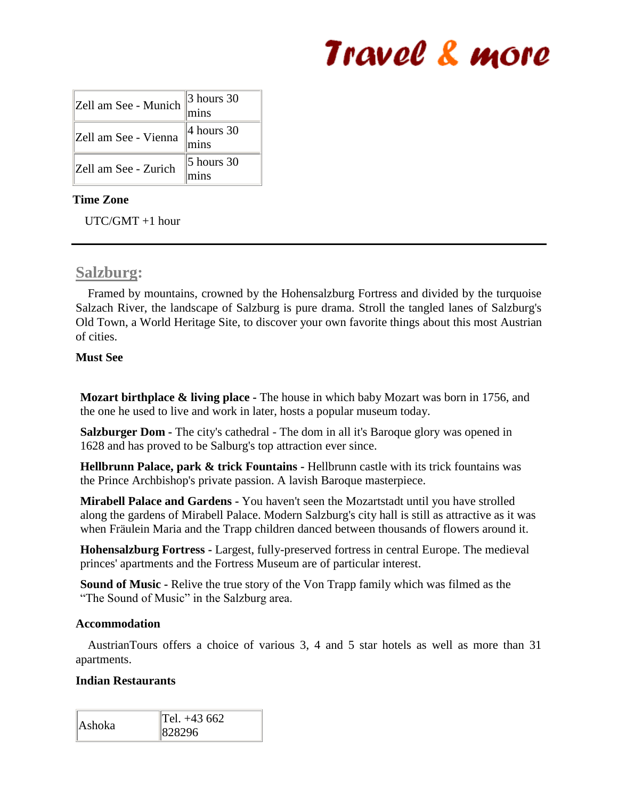| Zell am See - Munich | $\vert$ 3 hours 30<br>mins |
|----------------------|----------------------------|
| Zell am See - Vienna | $4$ hours 30<br>mins       |
| Zell am See - Zurich | $\vert$ 5 hours 30         |

## **Time Zone**

UTC/GMT +1 hour

## **Salzburg:**

 Framed by mountains, crowned by the Hohensalzburg Fortress and divided by the turquoise Salzach River, the landscape of Salzburg is pure drama. Stroll the tangled lanes of Salzburg's Old Town, a World Heritage Site, to discover your own favorite things about this most Austrian of cities.

## **Must See**

**Mozart birthplace & living place -** The house in which baby Mozart was born in 1756, and the one he used to live and work in later, hosts a popular museum today.

**Salzburger Dom -** The city's cathedral - The dom in all it's Baroque glory was opened in 1628 and has proved to be Salburg's top attraction ever since.

**Hellbrunn Palace, park & trick Fountains -** Hellbrunn castle with its trick fountains was the Prince Archbishop's private passion. A lavish Baroque masterpiece.

**Mirabell Palace and Gardens -** You haven't seen the Mozartstadt until you have strolled along the gardens of Mirabell Palace. Modern Salzburg's city hall is still as attractive as it was when Fräulein Maria and the Trapp children danced between thousands of flowers around it.

**Hohensalzburg Fortress -** Largest, fully-preserved fortress in central Europe. The medieval princes' apartments and the Fortress Museum are of particular interest.

**Sound of Music -** Relive the true story of the Von Trapp family which was filmed as the "The Sound of Music" in the Salzburg area.

## **Accommodation**

 AustrianTours offers a choice of various 3, 4 and 5 star hotels as well as more than 31 apartments.

## **Indian Restaurants**

|        | $\text{Tel.} +43662$ |
|--------|----------------------|
| Ashoka | 828296               |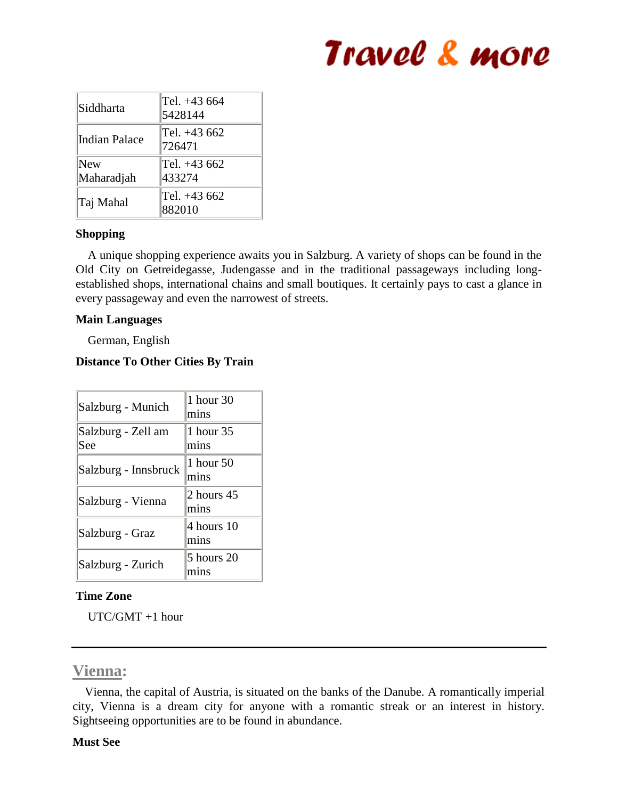| Siddharta         | Tel. +43 664<br>5428144 |
|-------------------|-------------------------|
| Indian Palace     | Tel. +43 662<br>726471  |
| New<br>Maharadjah | Tel. +43 662<br>433274  |
| Taj Mahal         | Tel. +43 662<br>882010  |

## **Shopping**

 A unique shopping experience awaits you in Salzburg. A variety of shops can be found in the Old City on Getreidegasse, Judengasse and in the traditional passageways including longestablished shops, international chains and small boutiques. It certainly pays to cast a glance in every passageway and even the narrowest of streets.

## **Main Languages**

German, English

## **Distance To Other Cities By Train**

| Salzburg - Munich         | 1 hour 30<br>mins  |
|---------------------------|--------------------|
| Salzburg - Zell am<br>See | 1 hour 35<br>mins  |
| Salzburg - Innsbruck      | 1 hour 50<br>mins  |
| Salzburg - Vienna         | 2 hours 45<br>mins |
| Salzburg - Graz           | 4 hours 10<br>mins |
| Salzburg - Zurich         | 5 hours 20<br>mıns |

## **Time Zone**

UTC/GMT +1 hour

## **Vienna:**

 Vienna, the capital of Austria, is situated on the banks of the Danube. A romantically imperial city, Vienna is a dream city for anyone with a romantic streak or an interest in history. Sightseeing opportunities are to be found in abundance.

## **Must See**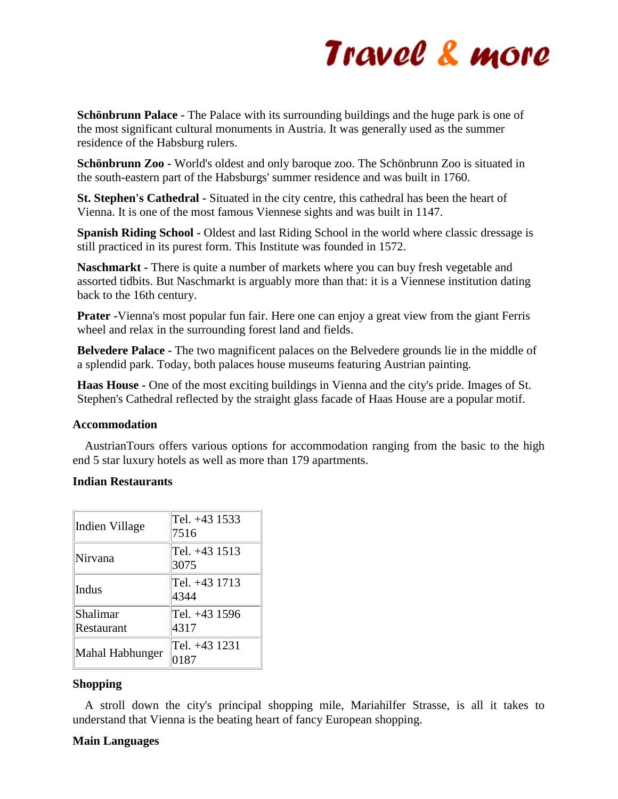**Schönbrunn Palace -** The Palace with its surrounding buildings and the huge park is one of the most significant cultural monuments in Austria. It was generally used as the summer residence of the Habsburg rulers.

**Schönbrunn Zoo -** World's oldest and only baroque zoo. The Schönbrunn Zoo is situated in the south-eastern part of the Habsburgs' summer residence and was built in 1760.

**St. Stephen's Cathedral -** Situated in the city centre, this cathedral has been the heart of Vienna. It is one of the most famous Viennese sights and was built in 1147.

**Spanish Riding School -** Oldest and last Riding School in the world where classic dressage is still practiced in its purest form. This Institute was founded in 1572.

**Naschmarkt -** There is quite a number of markets where you can buy fresh vegetable and assorted tidbits. But Naschmarkt is arguably more than that: it is a Viennese institution dating back to the 16th century.

**Prater -**Vienna's most popular fun fair. Here one can enjoy a great view from the giant Ferris wheel and relax in the surrounding forest land and fields.

**Belvedere Palace -** The two magnificent palaces on the Belvedere grounds lie in the middle of a splendid park. Today, both palaces house museums featuring Austrian painting.

**Haas House -** One of the most exciting buildings in Vienna and the city's pride. Images of St. Stephen's Cathedral reflected by the straight glass facade of Haas House are a popular motif.

## **Accommodation**

 AustrianTours offers various options for accommodation ranging from the basic to the high end 5 star luxury hotels as well as more than 179 apartments.

## **Indian Restaurants**

| Indien Village  | Tel. +43 1533<br>7516 |
|-----------------|-----------------------|
| Nirvana         | Tel. +43 1513<br>3075 |
| Indus           | Tel. +43 1713<br>4344 |
| Shalimar        | Tel. +43 1596         |
| Restaurant      | 4317                  |
| Mahal Habhunger | Tel. +43 1231<br>0187 |

## **Shopping**

 A stroll down the city's principal shopping mile, Mariahilfer Strasse, is all it takes to understand that Vienna is the beating heart of fancy European shopping.

## **Main Languages**